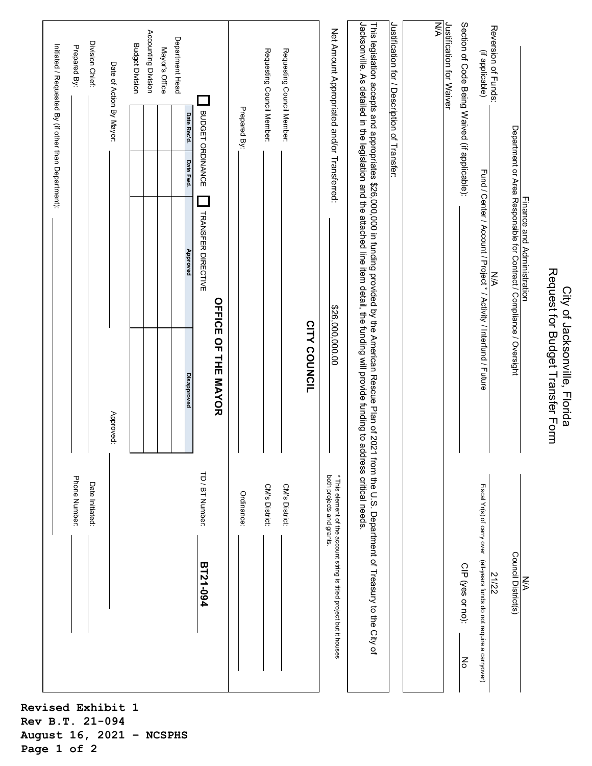|                                                      |                          |                                                                                                                                                                                                                                                              | Request for Budget Transfer Form<br>City of Jacksonville, Florida |                                                                                                   |
|------------------------------------------------------|--------------------------|--------------------------------------------------------------------------------------------------------------------------------------------------------------------------------------------------------------------------------------------------------------|-------------------------------------------------------------------|---------------------------------------------------------------------------------------------------|
|                                                      |                          | Finance and Administration<br>Department or Area Responsible for Contract / Compliance / Oversight                                                                                                                                                           |                                                                   | Council District(s)<br>N/A                                                                        |
| Reversion of Funds:                                  |                          | УN                                                                                                                                                                                                                                                           |                                                                   | 21/22                                                                                             |
| (if applicable)                                      |                          | Fund / Center / Account / Project * / Activity / Interfund / Future                                                                                                                                                                                          |                                                                   | Fiscal Yr(s) of carry over (all-years funds do not require a carryover)                           |
| Section of Code Being Waived (if applicable):        |                          |                                                                                                                                                                                                                                                              |                                                                   | CIP (yes or no):<br>Νo                                                                            |
| N/A<br>Justification for Waiver                      |                          |                                                                                                                                                                                                                                                              |                                                                   |                                                                                                   |
|                                                      |                          |                                                                                                                                                                                                                                                              |                                                                   |                                                                                                   |
| Justification for / Description of Transfer:         |                          |                                                                                                                                                                                                                                                              |                                                                   |                                                                                                   |
|                                                      |                          | Jacksonville. As detailed in the legislation and the attached line item detail, the funding will provide funding to address critical needs.<br>This legislation accepts and appropriates \$26,000,000 in funding provided by the American Rescue Plan of 202 |                                                                   | I from the U.S. Department of Treasury to the City of                                             |
| Net Amount Appropriated and/or Transferred:          |                          |                                                                                                                                                                                                                                                              | \$26,000,000.00                                                   | both projects and grants.<br>* This element of the account string is titled project but it houses |
|                                                      |                          |                                                                                                                                                                                                                                                              | <b>CITY COUNCIL</b>                                               |                                                                                                   |
| Requesting Council Member:                           |                          |                                                                                                                                                                                                                                                              |                                                                   | CM's District:                                                                                    |
| Requesting Council Member:                           |                          |                                                                                                                                                                                                                                                              |                                                                   | CM's District:                                                                                    |
|                                                      | Prepared By:             |                                                                                                                                                                                                                                                              |                                                                   | Ordinance:                                                                                        |
|                                                      |                          |                                                                                                                                                                                                                                                              | <b>OFFICE OF THE MAYOR</b>                                        |                                                                                                   |
|                                                      | BUDGET ORDINANCE         | TRANSFER DIRECTIVE                                                                                                                                                                                                                                           |                                                                   | TD / BT Number:<br><b>BT21-094</b>                                                                |
| Department Head                                      | Date Rec'd.<br>Date Fwd. | Approved                                                                                                                                                                                                                                                     | Disapproved                                                       |                                                                                                   |
| Mayor's Office                                       |                          |                                                                                                                                                                                                                                                              |                                                                   |                                                                                                   |
| Accounting Division                                  |                          |                                                                                                                                                                                                                                                              |                                                                   |                                                                                                   |
| <b>Budget Division</b>                               |                          |                                                                                                                                                                                                                                                              |                                                                   |                                                                                                   |
| Date of Action By Mayor:                             |                          |                                                                                                                                                                                                                                                              | Approved:                                                         |                                                                                                   |
| Division Chief:                                      |                          |                                                                                                                                                                                                                                                              |                                                                   | Date Initiated:                                                                                   |
| Prepared By:                                         |                          |                                                                                                                                                                                                                                                              |                                                                   | Phone Number:                                                                                     |
| Initiated / Requested By (if other than Department): |                          |                                                                                                                                                                                                                                                              |                                                                   |                                                                                                   |
|                                                      |                          |                                                                                                                                                                                                                                                              |                                                                   |                                                                                                   |

**Revised Exhibit 1 Rev B.T. 21-094 August 16, 2021 – NCSPHS Page 1 of 2**